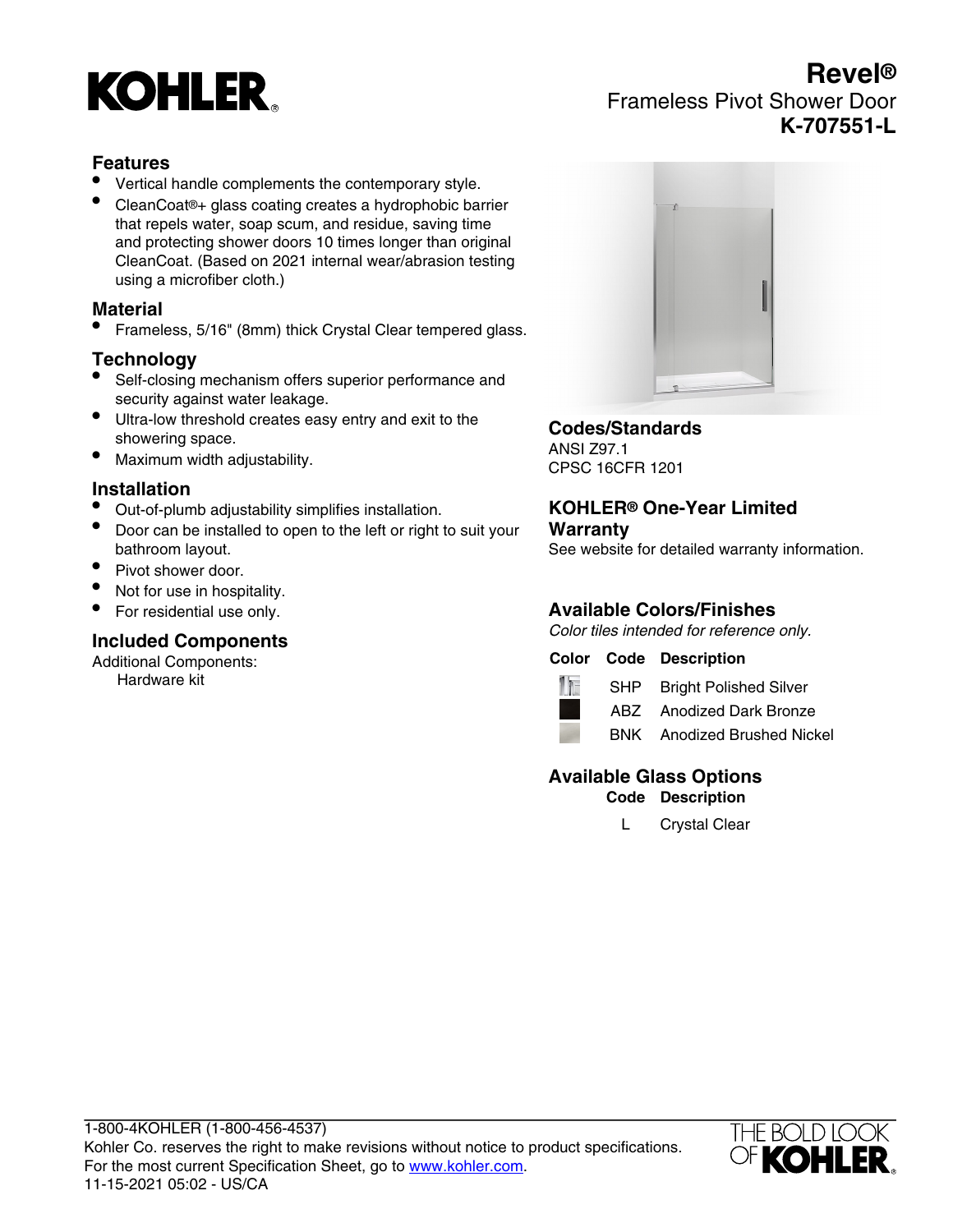# **KOHLER**

# **Revel®** Frameless Pivot Shower Door **K-707551-L**

### **Features**

- Vertical handle complements the contemporary style.
- CleanCoat®+ glass coating creates a hydrophobic barrier that repels water, soap scum, and residue, saving time and protecting shower doors 10 times longer than original CleanCoat. (Based on 2021 internal wear/abrasion testing using a microfiber cloth.)

#### **Material**

• Frameless, 5/16" (8mm) thick Crystal Clear tempered glass.

#### **Technology**

- Self-closing mechanism offers superior performance and security against water leakage.
- Ultra-low threshold creates easy entry and exit to the showering space.
- Maximum width adjustability.

#### **Installation**

- Out-of-plumb adjustability simplifies installation.
- Door can be installed to open to the left or right to suit your bathroom layout.
- Pivot shower door.
- Not for use in hospitality.
- For residential use only.

#### **Included Components**

Additional Components: Hardware kit



#### **Codes/Standards**

ANSI Z97.1 CPSC 16CFR 1201

#### **KOHLER® One-Year Limited Warranty**

See website for detailed warranty information.

# **Available Colors/Finishes**

Color tiles intended for reference only.

#### **Color Code Description**



SHP Bright Polished Silver ABZ Anodized Dark Bronze



BNK Anodized Brushed Nickel

## **Available Glass Options**

**Code Description**

L Crystal Clear